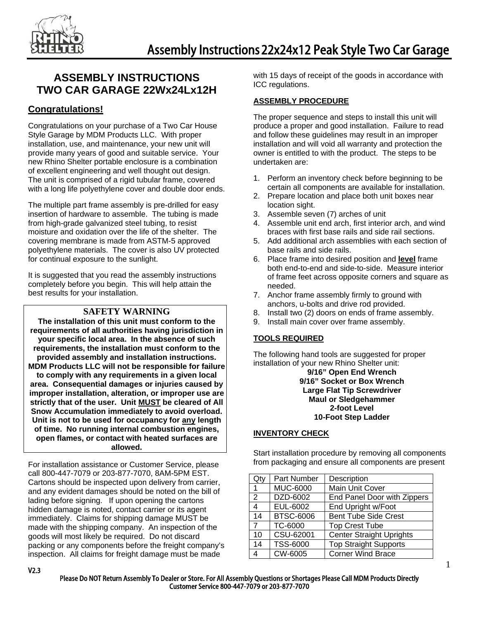

## **ASSEMBLY INSTRUCTIONS TWO CAR GARAGE 22Wx24Lx12H**

## **Congratulations!**

Congratulations on your purchase of a Two Car House Style Garage by MDM Products LLC. With proper installation, use, and maintenance, your new unit will provide many years of good and suitable service. Your new Rhino Shelter portable enclosure is a combination of excellent engineering and well thought out design. The unit is comprised of a rigid tubular frame, covered with a long life polyethylene cover and double door ends.

The multiple part frame assembly is pre-drilled for easy insertion of hardware to assemble. The tubing is made from high-grade galvanized steel tubing, to resist moisture and oxidation over the life of the shelter. The covering membrane is made from ASTM-5 approved polyethylene materials. The cover is also UV protected for continual exposure to the sunlight.

It is suggested that you read the assembly instructions completely before you begin. This will help attain the best results for your installation.

## **SAFETY WARNING**

**The installation of this unit must conform to the requirements of all authorities having jurisdiction in your specific local area. In the absence of such requirements, the installation must conform to the provided assembly and installation instructions. MDM Products LLC will not be responsible for failure to comply with any requirements in a given local area. Consequential damages or injuries caused by improper installation, alteration, or improper use are strictly that of the user. Unit MUST be cleared of All Snow Accumulation immediately to avoid overload. Unit is not to be used for occupancy for any length of time. No running internal combustion engines, open flames, or contact with heated surfaces are allowed.** 

For installation assistance or Customer Service, please call 800-447-7079 or 203-877-7070, 8AM-5PM EST. Cartons should be inspected upon delivery from carrier, and any evident damages should be noted on the bill of lading before signing. If upon opening the cartons hidden damage is noted, contact carrier or its agent immediately. Claims for shipping damage MUST be made with the shipping company. An inspection of the goods will most likely be required. Do not discard packing or any components before the freight company's inspection. All claims for freight damage must be made

with 15 days of receipt of the goods in accordance with ICC regulations.

## **ASSEMBLY PROCEDURE**

The proper sequence and steps to install this unit will produce a proper and good installation. Failure to read and follow these guidelines may result in an improper installation and will void all warranty and protection the owner is entitled to with the product. The steps to be undertaken are:

- 1. Perform an inventory check before beginning to be certain all components are available for installation.
- 2. Prepare location and place both unit boxes near location sight.
- 3. Assemble seven (7) arches of unit
- 4. Assemble unit end arch, first interior arch, and wind braces with first base rails and side rail sections.
- 5. Add additional arch assemblies with each section of base rails and side rails.
- 6. Place frame into desired position and **level** frame both end-to-end and side-to-side. Measure interior of frame feet across opposite corners and square as needed.
- 7. Anchor frame assembly firmly to ground with anchors, u-bolts and drive rod provided.
- 8. Install two (2) doors on ends of frame assembly.
- 9. Install main cover over frame assembly.

## **TOOLS REQUIRED**

The following hand tools are suggested for proper installation of your new Rhino Shelter unit:

> **9/16" Open End Wrench 9/16" Socket or Box Wrench Large Flat Tip Screwdriver Maul or Sledgehammer 2-foot Level 10-Foot Step Ladder**

#### **INVENTORY CHECK**

Start installation procedure by removing all components from packaging and ensure all components are present

| Qty            | Part Number      | Description                     |
|----------------|------------------|---------------------------------|
| 1              | <b>MUC-6000</b>  | Main Unit Cover                 |
| 2              | DZD-6002         | End Panel Door with Zippers     |
| $\overline{4}$ | EUL-6002         | End Upright w/Foot              |
| 14             | <b>BTSC-6006</b> | <b>Bent Tube Side Crest</b>     |
| $\overline{7}$ | TC-6000          | <b>Top Crest Tube</b>           |
| 10             | CSU-62001        | <b>Center Straight Uprights</b> |
| 14             | <b>TSS-6000</b>  | <b>Top Straight Supports</b>    |
| 4              | CW-6005          | <b>Corner Wind Brace</b>        |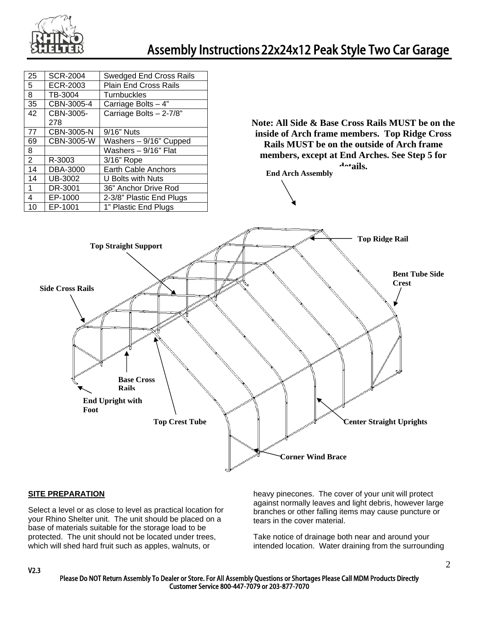

|                                                                                                                                                                                                      | <b>SCR-2004</b> | <b>Swedged End Cross Rails</b> |                                                           |  |
|------------------------------------------------------------------------------------------------------------------------------------------------------------------------------------------------------|-----------------|--------------------------------|-----------------------------------------------------------|--|
|                                                                                                                                                                                                      | ECR-2003        | Plain End Cross Rails          |                                                           |  |
| $\frac{25}{5}$ $\frac{8}{8}$                                                                                                                                                                         | TB-3004         | Turnbuckles                    |                                                           |  |
| 35                                                                                                                                                                                                   | CBN-3005-4      | Carriage Bolts - 4"            |                                                           |  |
| $\overline{42}$                                                                                                                                                                                      | CBN-3005-       | Carriage Bolts - 2-7/8"        |                                                           |  |
|                                                                                                                                                                                                      | 278             |                                | Note: All Side & Base Cross Rails MUST be on the          |  |
| 77                                                                                                                                                                                                   | CBN-3005-N      | 9/16" Nuts                     | inside of Arch frame members. Top Ridge Cross             |  |
| 69                                                                                                                                                                                                   | CBN-3005-W      | Washers - 9/16" Cupped         | Rails MUST be on the outside of Arch frame                |  |
| $\overline{8}$                                                                                                                                                                                       |                 | Washers - 9/16" Flat           |                                                           |  |
| $\overline{2}$                                                                                                                                                                                       | R-3003          | 3/16" Rope                     | members, except at End Arches. See Step 5 for             |  |
| 14                                                                                                                                                                                                   | <b>DBA-3000</b> | Earth Cable Anchors            | $\lambda$ <sup>-+</sup> ails.<br><b>End Arch Assembly</b> |  |
| 14                                                                                                                                                                                                   | <b>UB-3002</b>  | U Bolts with Nuts              |                                                           |  |
| $\overline{1}$                                                                                                                                                                                       | DR-3001         | 36" Anchor Drive Rod           |                                                           |  |
| $\overline{4}$                                                                                                                                                                                       | EP-1000         | 2-3/8" Plastic End Plugs       |                                                           |  |
| 10                                                                                                                                                                                                   | EP-1001         | 1" Plastic End Plugs           |                                                           |  |
| <b>Bent Tube Side</b><br><b>Crest</b><br><b>Side Cross Rails</b><br><b>Base Cross</b><br><b>Rails</b><br><b>End Upright with</b><br>Foot<br><b>Top Crest Tube</b><br><b>Center Straight Uprights</b> |                 |                                |                                                           |  |
|                                                                                                                                                                                                      |                 |                                | <b>Corner Wind Brace</b>                                  |  |
|                                                                                                                                                                                                      |                 |                                |                                                           |  |
|                                                                                                                                                                                                      |                 |                                |                                                           |  |

## **SITE PREPARATION**

Select a level or as close to level as practical location for your Rhino Shelter unit. The unit should be placed on a base of materials suitable for the storage load to be protected. The unit should not be located under trees, which will shed hard fruit such as apples, walnuts, or

heavy pinecones. The cover of your unit will protect against normally leaves and light debris, however large branches or other falling items may cause puncture or tears in the cover material.

Take notice of drainage both near and around your intended location. Water draining from the surrounding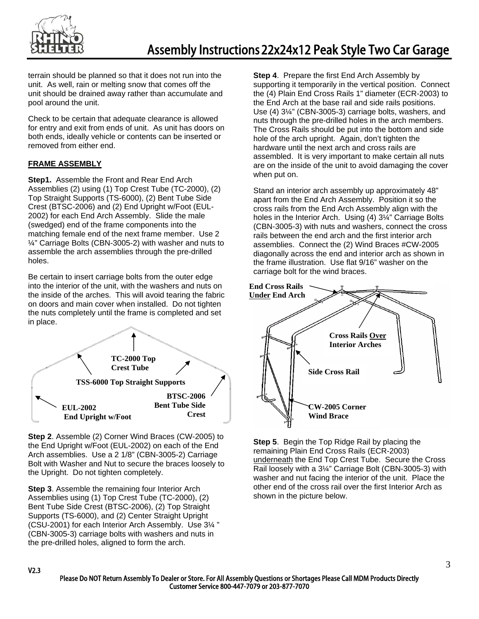

terrain should be planned so that it does not run into the unit. As well, rain or melting snow that comes off the unit should be drained away rather than accumulate and pool around the unit.

Check to be certain that adequate clearance is allowed for entry and exit from ends of unit. As unit has doors on both ends, ideally vehicle or contents can be inserted or removed from either end.

## **FRAME ASSEMBLY**

**Step1.** Assemble the Front and Rear End Arch Assemblies (2) using (1) Top Crest Tube (TC-2000), (2) Top Straight Supports (TS-6000), (2) Bent Tube Side Crest (BTSC-2006) and (2) End Upright w/Foot (EUL-2002) for each End Arch Assembly. Slide the male (swedged) end of the frame components into the matching female end of the next frame member. Use 2 ¼" Carriage Bolts (CBN-3005-2) with washer and nuts to assemble the arch assemblies through the pre-drilled holes.

Be certain to insert carriage bolts from the outer edge into the interior of the unit, with the washers and nuts on the inside of the arches. This will avoid tearing the fabric on doors and main cover when installed. Do not tighten the nuts completely until the frame is completed and set in place.



**Step 2**. Assemble (2) Corner Wind Braces (CW-2005) to the End Upright w/Foot (EUL-2002) on each of the End Arch assemblies. Use a 2 1/8" (CBN-3005-2) Carriage Bolt with Washer and Nut to secure the braces loosely to the Upright. Do not tighten completely.

**Step 3**. Assemble the remaining four Interior Arch Assemblies using (1) Top Crest Tube (TC-2000), (2) Bent Tube Side Crest (BTSC-2006), (2) Top Straight Supports (TS-6000), and (2) Center Straight Upright (CSU-2001) for each Interior Arch Assembly. Use 3¼ " (CBN-3005-3) carriage bolts with washers and nuts in the pre-drilled holes, aligned to form the arch.

**Step 4**. Prepare the first End Arch Assembly by supporting it temporarily in the vertical position. Connect the (4) Plain End Cross Rails 1" diameter (ECR-2003) to the End Arch at the base rail and side rails positions. Use (4) 3¼" (CBN-3005-3) carriage bolts, washers, and nuts through the pre-drilled holes in the arch members. The Cross Rails should be put into the bottom and side hole of the arch upright. Again, don't tighten the hardware until the next arch and cross rails are assembled. It is very important to make certain all nuts are on the inside of the unit to avoid damaging the cover when put on.

Stand an interior arch assembly up approximately 48" apart from the End Arch Assembly. Position it so the cross rails from the End Arch Assembly align with the holes in the Interior Arch. Using (4) 3¼" Carriage Bolts (CBN-3005-3) with nuts and washers, connect the cross rails between the end arch and the first interior arch assemblies. Connect the (2) Wind Braces #CW-2005 diagonally across the end and interior arch as shown in the frame illustration. Use flat 9/16" washer on the carriage bolt for the wind braces.



**Step 5**. Begin the Top Ridge Rail by placing the remaining Plain End Cross Rails (ECR-2003) underneath the End Top Crest Tube. Secure the Cross Rail loosely with a 3¼" Carriage Bolt (CBN-3005-3) with washer and nut facing the interior of the unit. Place the other end of the cross rail over the first Interior Arch as shown in the picture below.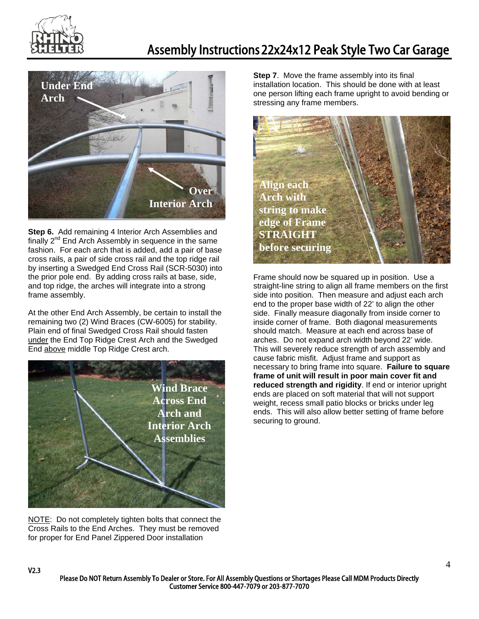

# Assembly Instructions 22x24x12 Peak Style Two Car Garage



**Step 6.** Add remaining 4 Interior Arch Assemblies and finally  $2^{nd}$  End Arch Assembly in sequence in the same fashion. For each arch that is added, add a pair of base cross rails, a pair of side cross rail and the top ridge rail by inserting a Swedged End Cross Rail (SCR-5030) into the prior pole end. By adding cross rails at base, side, and top ridge, the arches will integrate into a strong frame assembly.

At the other End Arch Assembly, be certain to install the remaining two (2) Wind Braces (CW-6005) for stability. Plain end of final Swedged Cross Rail should fasten under the End Top Ridge Crest Arch and the Swedged End above middle Top Ridge Crest arch.



NOTE: Do not completely tighten bolts that connect the Cross Rails to the End Arches. They must be removed for proper for End Panel Zippered Door installation

V2.3

**Step 7**. Move the frame assembly into its final installation location. This should be done with at least one person lifting each frame upright to avoid bending or stressing any frame members.



Frame should now be squared up in position. Use a straight-line string to align all frame members on the first side into position. Then measure and adjust each arch end to the proper base width of 22' to align the other side. Finally measure diagonally from inside corner to inside corner of frame. Both diagonal measurements should match. Measure at each end across base of arches. Do not expand arch width beyond 22' wide. This will severely reduce strength of arch assembly and cause fabric misfit. Adjust frame and support as necessary to bring frame into square. **Failure to square frame of unit will result in poor main cover fit and reduced strength and rigidity**. If end or interior upright ends are placed on soft material that will not support weight, recess small patio blocks or bricks under leg ends. This will also allow better setting of frame before securing to ground.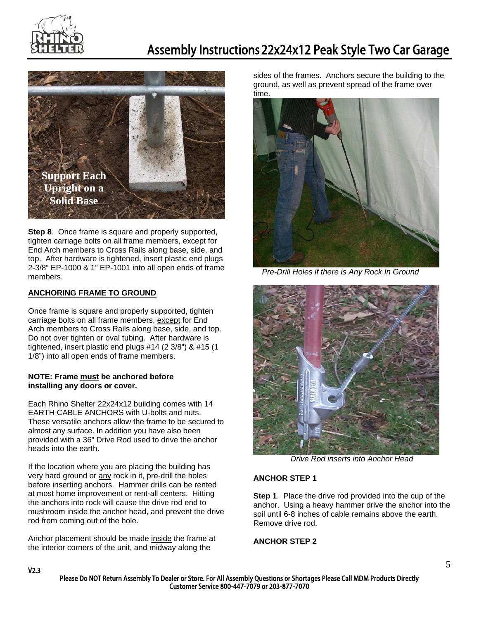



**Step 8**. Once frame is square and properly supported, tighten carriage bolts on all frame members, except for End Arch members to Cross Rails along base, side, and top. After hardware is tightened, insert plastic end plugs 2-3/8" EP-1000 & 1" EP-1001 into all open ends of frame members.

## **ANCHORING FRAME TO GROUND**

Once frame is square and properly supported, tighten carriage bolts on all frame members, except for End Arch members to Cross Rails along base, side, and top. Do not over tighten or oval tubing. After hardware is tightened, insert plastic end plugs #14 (2 3/8") & #15 (1 1/8") into all open ends of frame members.

#### **NOTE: Frame must be anchored before installing any doors or cover.**

Each Rhino Shelter 22x24x12 building comes with 14 EARTH CABLE ANCHORS with U-bolts and nuts. These versatile anchors allow the frame to be secured to almost any surface. In addition you have also been provided with a 36" Drive Rod used to drive the anchor heads into the earth.

If the location where you are placing the building has very hard ground or any rock in it, pre-drill the holes before inserting anchors. Hammer drills can be rented at most home improvement or rent-all centers. Hitting the anchors into rock will cause the drive rod end to mushroom inside the anchor head, and prevent the drive rod from coming out of the hole.

Anchor placement should be made inside the frame at the interior corners of the unit, and midway along the

sides of the frames. Anchors secure the building to the ground, as well as prevent spread of the frame over time.



*Pre-Drill Holes if there is Any Rock In Ground* 



*Drive Rod inserts into Anchor Head* 

#### **ANCHOR STEP 1**

**Step 1**. Place the drive rod provided into the cup of the anchor. Using a heavy hammer drive the anchor into the soil until 6-8 inches of cable remains above the earth. Remove drive rod.

#### **ANCHOR STEP 2**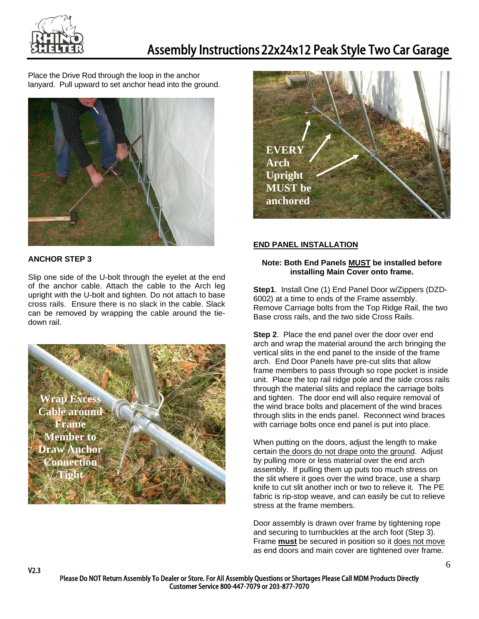

Place the Drive Rod through the loop in the anchor lanyard. Pull upward to set anchor head into the ground.



## **ANCHOR STEP 3**

V2.3

Slip one side of the U-bolt through the eyelet at the end of the anchor cable. Attach the cable to the Arch leg upright with the U-bolt and tighten. Do not attach to base cross rails. Ensure there is no slack in the cable. Slack can be removed by wrapping the cable around the tiedown rail.





## **END PANEL INSTALLATION**

#### **Note: Both End Panels MUST be installed before installing Main Cover onto frame.**

**Step1**. Install One (1) End Panel Door w/Zippers (DZD-6002) at a time to ends of the Frame assembly. Remove Carriage bolts from the Top Ridge Rail, the two Base cross rails, and the two side Cross Rails.

**Step 2**. Place the end panel over the door over end arch and wrap the material around the arch bringing the vertical slits in the end panel to the inside of the frame arch. End Door Panels have pre-cut slits that allow frame members to pass through so rope pocket is inside unit.Place the top rail ridge pole and the side cross rails through the material slits and replace the carriage bolts and tighten. The door end will also require removal of the wind brace bolts and placement of the wind braces through slits in the ends panel. Reconnect wind braces with carriage bolts once end panel is put into place.

When putting on the doors, adjust the length to make certain the doors do not drape onto the ground. Adjust by pulling more or less material over the end arch assembly. If pulling them up puts too much stress on the slit where it goes over the wind brace, use a sharp knife to cut slit another inch or two to relieve it. The PE fabric is rip-stop weave, and can easily be cut to relieve stress at the frame members.

Door assembly is drawn over frame by tightening rope and securing to turnbuckles at the arch foot (Step 3). Frame **must** be secured in position so it does not move as end doors and main cover are tightened over frame.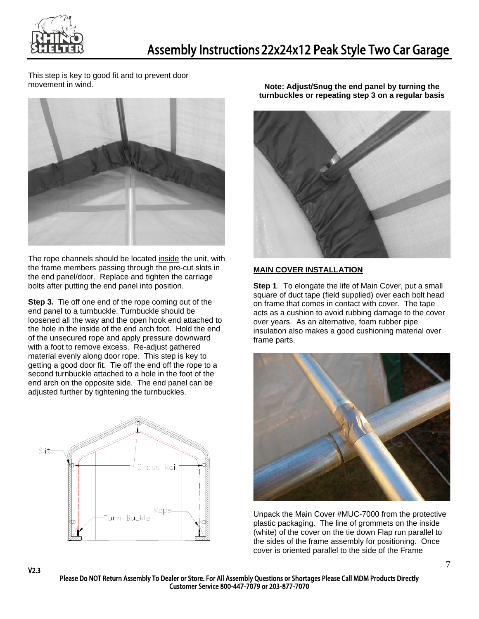

This step is key to good fit and to prevent door movement in wind.



The rope channels should be located inside the unit, with the frame members passing through the pre-cut slots in the end panel/door. Replace and tighten the carriage bolts after putting the end panel into position.

**Step 3.** Tie off one end of the rope coming out of the end panel to a turnbuckle. Turnbuckle should be loosened all the way and the open hook end attached to the hole in the inside of the end arch foot. Hold the end of the unsecured rope and apply pressure downward with a foot to remove excess. Re-adjust gathered material evenly along door rope. This step is key to getting a good door fit. Tie off the end off the rope to a second turnbuckle attached to a hole in the foot of the end arch on the opposite side. The end panel can be adjusted further by tightening the turnbuckles.



V2.3

**Note: Adjust/Snug the end panel by turning the turnbuckles or repeating step 3 on a regular basis** 



#### **MAIN COVER INSTALLATION**

**Step 1**. To elongate the life of Main Cover, put a small square of duct tape (field supplied) over each bolt head on frame that comes in contact with cover. The tape acts as a cushion to avoid rubbing damage to the cover over years. As an alternative, foam rubber pipe insulation also makes a good cushioning material over frame parts.



Unpack the Main Cover #MUC-7000 from the protective plastic packaging. The line of grommets on the inside (white) of the cover on the tie down Flap run parallel to the sides of the frame assembly for positioning. Once cover is oriented parallel to the side of the Frame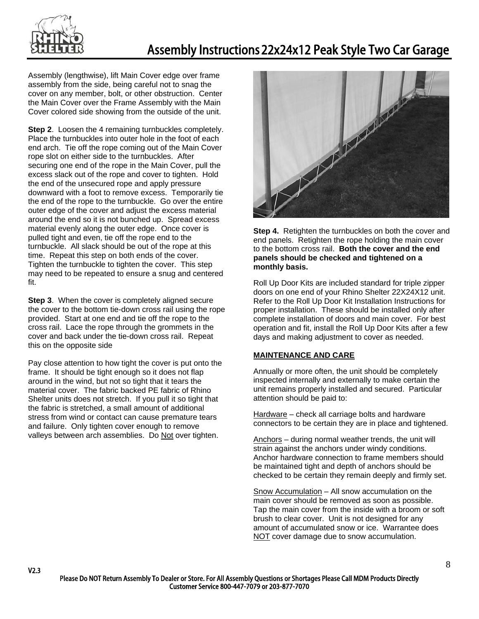

Assembly (lengthwise), lift Main Cover edge over frame assembly from the side, being careful not to snag the cover on any member, bolt, or other obstruction. Center the Main Cover over the Frame Assembly with the Main Cover colored side showing from the outside of the unit.

**Step 2.** Loosen the 4 remaining turnbuckles completely. Place the turnbuckles into outer hole in the foot of each end arch. Tie off the rope coming out of the Main Cover rope slot on either side to the turnbuckles. After securing one end of the rope in the Main Cover, pull the excess slack out of the rope and cover to tighten. Hold the end of the unsecured rope and apply pressure downward with a foot to remove excess. Temporarily tie the end of the rope to the turnbuckle. Go over the entire outer edge of the cover and adjust the excess material around the end so it is not bunched up. Spread excess material evenly along the outer edge. Once cover is pulled tight and even, tie off the rope end to the turnbuckle. All slack should be out of the rope at this time. Repeat this step on both ends of the cover. Tighten the turnbuckle to tighten the cover. This step may need to be repeated to ensure a snug and centered fit.

**Step 3**. When the cover is completely aligned secure the cover to the bottom tie-down cross rail using the rope provided. Start at one end and tie off the rope to the cross rail. Lace the rope through the grommets in the cover and back under the tie-down cross rail. Repeat this on the opposite side

Pay close attention to how tight the cover is put onto the frame. It should be tight enough so it does not flap around in the wind, but not so tight that it tears the material cover. The fabric backed PE fabric of Rhino Shelter units does not stretch. If you pull it so tight that the fabric is stretched, a small amount of additional stress from wind or contact can cause premature tears and failure. Only tighten cover enough to remove valleys between arch assemblies. Do Not over tighten.

V2.3



**Step 4.** Retighten the turnbuckles on both the cover and end panels. Retighten the rope holding the main cover to the bottom cross rail. **Both the cover and the end panels should be checked and tightened on a monthly basis.** 

Roll Up Door Kits are included standard for triple zipper doors on one end of your Rhino Shelter 22X24X12 unit. Refer to the Roll Up Door Kit Installation Instructions for proper installation. These should be installed only after complete installation of doors and main cover. For best operation and fit, install the Roll Up Door Kits after a few days and making adjustment to cover as needed.

## **MAINTENANCE AND CARE**

Annually or more often, the unit should be completely inspected internally and externally to make certain the unit remains properly installed and secured. Particular attention should be paid to:

Hardware – check all carriage bolts and hardware connectors to be certain they are in place and tightened.

Anchors – during normal weather trends, the unit will strain against the anchors under windy conditions. Anchor hardware connection to frame members should be maintained tight and depth of anchors should be checked to be certain they remain deeply and firmly set.

Snow Accumulation – All snow accumulation on the main cover should be removed as soon as possible. Tap the main cover from the inside with a broom or soft brush to clear cover. Unit is not designed for any amount of accumulated snow or ice. Warrantee does NOT cover damage due to snow accumulation.